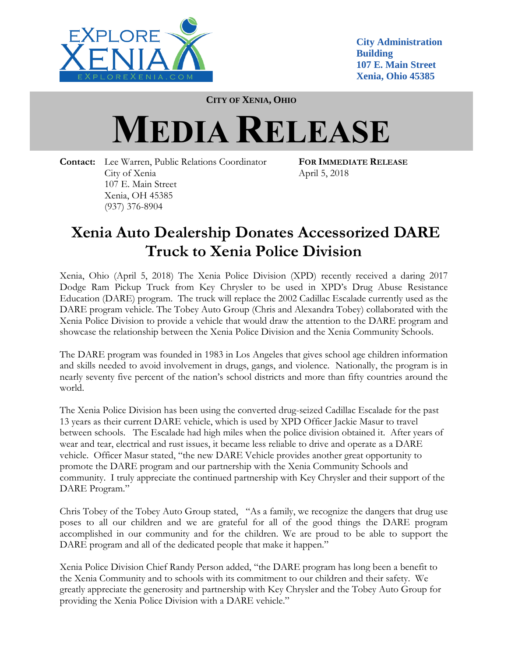

**City Administration Building 107 E. Main Street Xenia, Ohio 45385**

**CITY OF XENIA, OHIO**

## **MEDIA RELEASE**

**Contact:** Lee Warren, Public Relations Coordinator **FOR IMMEDIATE RELEASE** City of Xenia April 5, 2018 107 E. Main Street Xenia, OH 45385 (937) 376-8904

## **Xenia Auto Dealership Donates Accessorized DARE Truck to Xenia Police Division**

Xenia, Ohio (April 5, 2018) The Xenia Police Division (XPD) recently received a daring 2017 Dodge Ram Pickup Truck from Key Chrysler to be used in XPD's Drug Abuse Resistance Education (DARE) program. The truck will replace the 2002 Cadillac Escalade currently used as the DARE program vehicle. The Tobey Auto Group (Chris and Alexandra Tobey) collaborated with the Xenia Police Division to provide a vehicle that would draw the attention to the DARE program and showcase the relationship between the Xenia Police Division and the Xenia Community Schools.

The DARE program was founded in 1983 in Los Angeles that gives school age children information and skills needed to avoid involvement in drugs, gangs, and violence. Nationally, the program is in nearly seventy five percent of the nation's school districts and more than fifty countries around the world.

The Xenia Police Division has been using the converted drug-seized Cadillac Escalade for the past 13 years as their current DARE vehicle, which is used by XPD Officer Jackie Masur to travel between schools. The Escalade had high miles when the police division obtained it. After years of wear and tear, electrical and rust issues, it became less reliable to drive and operate as a DARE vehicle. Officer Masur stated, "the new DARE Vehicle provides another great opportunity to promote the DARE program and our partnership with the Xenia Community Schools and community. I truly appreciate the continued partnership with Key Chrysler and their support of the DARE Program."

Chris Tobey of the Tobey Auto Group stated, "As a family, we recognize the dangers that drug use poses to all our children and we are grateful for all of the good things the DARE program accomplished in our community and for the children. We are proud to be able to support the DARE program and all of the dedicated people that make it happen."

Xenia Police Division Chief Randy Person added, "the DARE program has long been a benefit to the Xenia Community and to schools with its commitment to our children and their safety. We greatly appreciate the generosity and partnership with Key Chrysler and the Tobey Auto Group for providing the Xenia Police Division with a DARE vehicle."